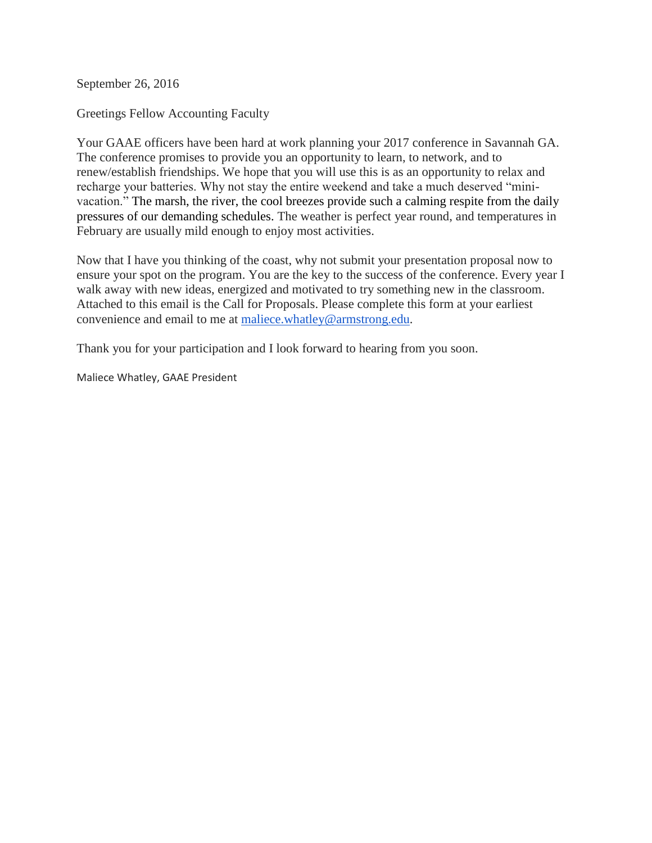September 26, 2016

Greetings Fellow Accounting Faculty

Your GAAE officers have been hard at work planning your 2017 conference in Savannah GA. The conference promises to provide you an opportunity to learn, to network, and to renew/establish friendships. We hope that you will use this is as an opportunity to relax and recharge your batteries. Why not stay the entire weekend and take a much deserved "minivacation." The marsh, the river, the cool breezes provide such a calming respite from the daily pressures of our demanding schedules. The weather is perfect year round, and temperatures in February are usually mild enough to enjoy most activities.

Now that I have you thinking of the coast, why not submit your presentation proposal now to ensure your spot on the program. You are the key to the success of the conference. Every year I walk away with new ideas, energized and motivated to try something new in the classroom. Attached to this email is the Call for Proposals. Please complete this form at your earliest convenience and email to me at [maliece.whatley@armstrong.edu.](mailto:maliece.whatley@armstrong.edu)

Thank you for your participation and I look forward to hearing from you soon.

Maliece Whatley, GAAE President